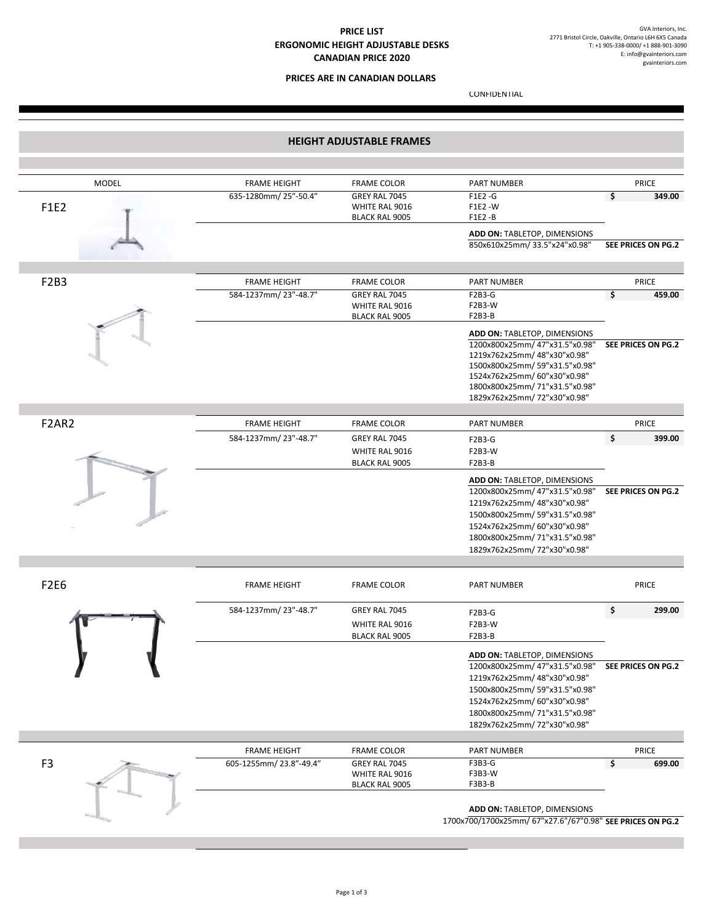## **PRICE LIST ERGONOMIC HEIGHT ADJUSTABLE DESKS CANADIAN PRICE 2020**

## **PRICES ARE IN CANADIAN DOLLARS**

E: INFO@GVAINTERIORS.COM

CONFIDENTIAL

|                    |                                                                                                                                                                                                                               | <b>HEIGHT ADJUSTABLE FRAMES</b>                          |                        |                |
|--------------------|-------------------------------------------------------------------------------------------------------------------------------------------------------------------------------------------------------------------------------|----------------------------------------------------------|------------------------|----------------|
|                    |                                                                                                                                                                                                                               |                                                          |                        |                |
| <b>PRICE</b>       | <b>PART NUMBER</b>                                                                                                                                                                                                            | <b>FRAME COLOR</b>                                       | <b>FRAME HEIGHT</b>    | <b>MODEL</b>   |
| \$<br>349.00       | $F1E2 - G$<br>F1E2 - W<br>F1E2-B                                                                                                                                                                                              | GREY RAL 7045<br>WHITE RAL 9016<br><b>BLACK RAL 9005</b> | 635-1280mm/25"-50.4"   | F1E2           |
| SEE PRICES ON PG.2 | ADD ON: TABLETOP, DIMENSIONS<br>850x610x25mm/33.5"x24"x0.98"                                                                                                                                                                  |                                                          |                        |                |
|                    |                                                                                                                                                                                                                               |                                                          |                        |                |
| PRICE              | <b>PART NUMBER</b>                                                                                                                                                                                                            | <b>FRAME COLOR</b>                                       | <b>FRAME HEIGHT</b>    | F2B3           |
| 459.00<br>\$       | F2B3-G<br>F2B3-W<br>F2B3-B                                                                                                                                                                                                    | GREY RAL 7045<br>WHITE RAL 9016<br><b>BLACK RAL 9005</b> | 584-1237mm/23"-48.7"   |                |
| SEE PRICES ON PG.2 | ADD ON: TABLETOP, DIMENSIONS<br>1200x800x25mm/47"x31.5"x0.98"<br>1219x762x25mm/48"x30"x0.98"<br>1500x800x25mm/59"x31.5"x0.98"<br>1524x762x25mm/60"x30"x0.98"<br>1800x800x25mm/71"x31.5"x0.98"<br>1829x762x25mm/72"x30"x0.98"  |                                                          |                        |                |
| <b>PRICE</b>       | <b>PART NUMBER</b>                                                                                                                                                                                                            | <b>FRAME COLOR</b>                                       | <b>FRAME HEIGHT</b>    | F2AR2          |
| \$<br>399.00       | F2B3-G<br><b>F2B3-W</b><br>F2B3-B                                                                                                                                                                                             | GREY RAL 7045<br>WHITE RAL 9016<br><b>BLACK RAL 9005</b> | 584-1237mm/23"-48.7"   |                |
| SEE PRICES ON PG.2 | ADD ON: TABLETOP, DIMENSIONS<br>1200x800x25mm/47"x31.5"x0.98"<br>1219x762x25mm/48"x30"x0.98"<br>1500x800x25mm/59"x31.5"x0.98"<br>1524x762x25mm/60"x30"x0.98"<br>1800x800x25mm/71"x31.5"x0.98"<br>1829x762x25mm/ 72"x30"x0.98" |                                                          |                        |                |
| <b>PRICE</b>       | <b>PART NUMBER</b>                                                                                                                                                                                                            | <b>FRAME COLOR</b>                                       | <b>FRAME HEIGHT</b>    | <b>F2E6</b>    |
| \$<br>299.00       | F2B3-G<br><b>F2B3-W</b><br>F2B3-B                                                                                                                                                                                             | GREY RAL 7045<br>WHITE RAL 9016<br><b>BLACK RAL 9005</b> | 584-1237mm/23"-48.7"   |                |
| SEE PRICES ON PG.2 | ADD ON: TABLETOP, DIMENSIONS<br>1200x800x25mm/47"x31.5"x0.98"<br>1219x762x25mm/48"x30"x0.98"<br>1500x800x25mm/59"x31.5"x0.98"<br>1524x762x25mm/60"x30"x0.98"<br>1800x800x25mm/71"x31.5"x0.98"<br>1829x762x25mm/72"x30"x0.98"  |                                                          |                        |                |
| PRICE              | PART NUMBER                                                                                                                                                                                                                   | <b>FRAME COLOR</b>                                       | <b>FRAME HEIGHT</b>    |                |
| \$<br>699.00       | F3B3-G<br>F3B3-W<br>F3B3-B                                                                                                                                                                                                    | GREY RAL 7045<br>WHITE RAL 9016<br><b>BLACK RAL 9005</b> | 605-1255mm/23.8"-49.4" | F <sub>3</sub> |
|                    | ADD ON: TABLETOP, DIMENSIONS<br>1700x700/1700x25mm/ 67"x27.6"/67"0.98" SEE PRICES ON PG.2                                                                                                                                     |                                                          |                        |                |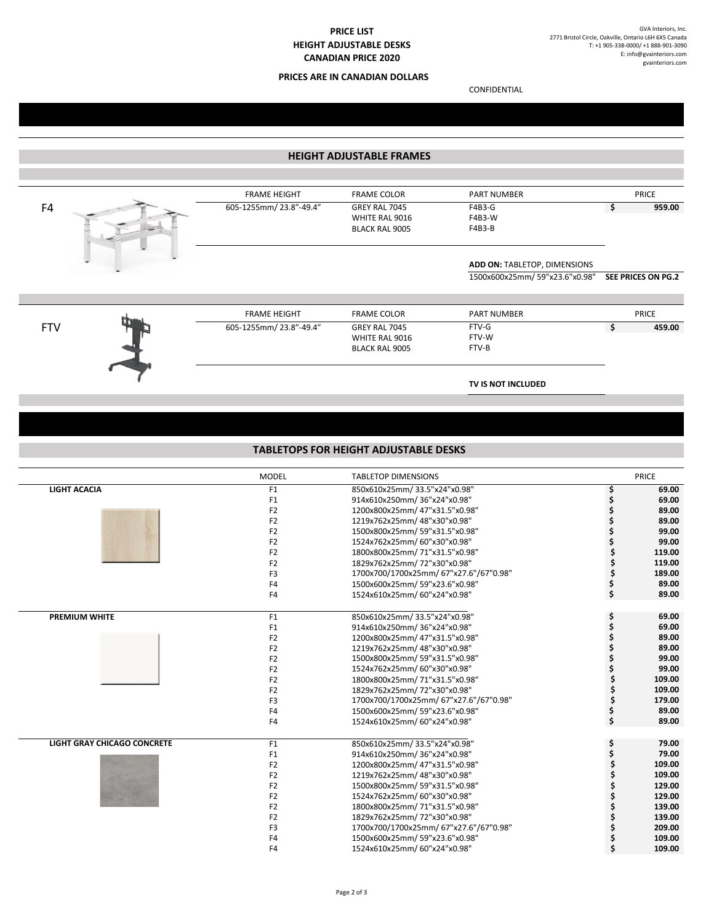# **PRICE LIST HEIGHT ADJUSTABLE DESKS CANADIAN PRICE 2020**

## **PRICES ARE IN CANADIAN DOLLARS**

CONFIDENTIAL

| <b>HEIGHT ADJUSTABLE FRAMES</b> |                     |                        |                                              |                               |    |                    |  |  |  |  |  |
|---------------------------------|---------------------|------------------------|----------------------------------------------|-------------------------------|----|--------------------|--|--|--|--|--|
|                                 |                     |                        |                                              |                               |    |                    |  |  |  |  |  |
|                                 |                     | <b>FRAME HEIGHT</b>    | <b>FRAME COLOR</b>                           | <b>PART NUMBER</b>            |    | PRICE              |  |  |  |  |  |
| F4                              |                     | 605-1255mm/23.8"-49.4" | GREY RAL 7045                                | F4B3-G                        | \$ | 959.00             |  |  |  |  |  |
|                                 |                     |                        | WHITE RAL 9016                               | F4B3-W                        |    |                    |  |  |  |  |  |
|                                 |                     |                        | <b>BLACK RAL 9005</b>                        | F4B3-B                        |    |                    |  |  |  |  |  |
|                                 |                     |                        |                                              |                               |    |                    |  |  |  |  |  |
|                                 |                     |                        |                                              | ADD ON: TABLETOP, DIMENSIONS  |    |                    |  |  |  |  |  |
|                                 |                     |                        |                                              | 1500x600x25mm/59"x23.6"x0.98" |    | SEE PRICES ON PG.2 |  |  |  |  |  |
|                                 |                     |                        |                                              |                               |    |                    |  |  |  |  |  |
|                                 |                     | <b>FRAME HEIGHT</b>    | <b>FRAME COLOR</b>                           | <b>PART NUMBER</b>            |    | PRICE              |  |  |  |  |  |
| <b>FTV</b>                      |                     | 605-1255mm/23.8"-49.4" | GREY RAL 7045                                | $FTV-G$                       | \$ | 459.00             |  |  |  |  |  |
|                                 |                     |                        | WHITE RAL 9016                               | FTV-W                         |    |                    |  |  |  |  |  |
|                                 |                     |                        | <b>BLACK RAL 9005</b>                        | FTV-B                         |    |                    |  |  |  |  |  |
|                                 |                     |                        |                                              |                               |    |                    |  |  |  |  |  |
|                                 |                     |                        |                                              | TV IS NOT INCLUDED            |    |                    |  |  |  |  |  |
|                                 |                     |                        |                                              |                               |    |                    |  |  |  |  |  |
|                                 |                     |                        |                                              |                               |    |                    |  |  |  |  |  |
|                                 |                     |                        |                                              |                               |    |                    |  |  |  |  |  |
|                                 |                     |                        | <b>TABLETOPS FOR HEIGHT ADJUSTABLE DESKS</b> |                               |    |                    |  |  |  |  |  |
|                                 |                     | <b>MODEL</b>           | <b>TABLETOP DIMENSIONS</b>                   |                               |    | PRICE              |  |  |  |  |  |
|                                 | <b>LIGHT ACACIA</b> | F <sub>1</sub>         | 850x610x25mm/33.5"x24"x0.98"                 |                               |    | 69.00              |  |  |  |  |  |
|                                 |                     | F <sub>1</sub>         | 914x610x250mm/36"x24"x0.98"                  |                               | \$ | 69.00              |  |  |  |  |  |
|                                 |                     |                        |                                              |                               |    |                    |  |  |  |  |  |

|                                    | MODEL          | <b>TABLETOP DIMENSIONS</b>             |    | PRICE  |
|------------------------------------|----------------|----------------------------------------|----|--------|
| <b>LIGHT ACACIA</b>                | F1             | 850x610x25mm/33.5"x24"x0.98"           | \$ | 69.00  |
|                                    | F <sub>1</sub> | 914x610x250mm/36"x24"x0.98"            |    | 69.00  |
|                                    | F <sub>2</sub> | 1200x800x25mm/47"x31.5"x0.98"          |    | 89.00  |
|                                    | F <sub>2</sub> | 1219x762x25mm/48"x30"x0.98"            |    | 89.00  |
|                                    | F <sub>2</sub> | 1500x800x25mm/59"x31.5"x0.98"          |    | 99.00  |
|                                    | F <sub>2</sub> | 1524x762x25mm/60"x30"x0.98"            |    | 99.00  |
|                                    | F <sub>2</sub> | 1800x800x25mm/71"x31.5"x0.98"          |    | 119.00 |
|                                    | F <sub>2</sub> | 1829x762x25mm/72"x30"x0.98"            |    | 119.00 |
|                                    | F <sub>3</sub> | 1700x700/1700x25mm/ 67"x27.6"/67"0.98" | \$ | 189.00 |
|                                    | F <sub>4</sub> | 1500x600x25mm/59"x23.6"x0.98"          |    | 89.00  |
|                                    | F <sub>4</sub> | 1524x610x25mm/60"x24"x0.98"            | Ś. | 89.00  |
| <b>PREMIUM WHITE</b>               | F1             | 850x610x25mm/33.5"x24"x0.98"           |    | 69.00  |
|                                    | F <sub>1</sub> | 914x610x250mm/36"x24"x0.98"            | \$ | 69.00  |
|                                    | F <sub>2</sub> | 1200x800x25mm/47"x31.5"x0.98"          |    | 89.00  |
|                                    | F <sub>2</sub> | 1219x762x25mm/48"x30"x0.98"            |    | 89.00  |
|                                    | F <sub>2</sub> | 1500x800x25mm/59"x31.5"x0.98"          |    | 99.00  |
|                                    | F <sub>2</sub> | 1524x762x25mm/60"x30"x0.98"            |    | 99.00  |
|                                    | F <sub>2</sub> | 1800x800x25mm/71"x31.5"x0.98"          |    | 109.00 |
|                                    | F <sub>2</sub> | 1829x762x25mm/72"x30"x0.98"            |    | 109.00 |
|                                    | F <sub>3</sub> | 1700x700/1700x25mm/ 67"x27.6"/67"0.98" |    | 179.00 |
|                                    | F4             | 1500x600x25mm/59"x23.6"x0.98"          |    | 89.00  |
|                                    | F4             | 1524x610x25mm/60"x24"x0.98"            |    | 89.00  |
| <b>LIGHT GRAY CHICAGO CONCRETE</b> | F <sub>1</sub> | 850x610x25mm/33.5"x24"x0.98"           | \$ | 79.00  |
|                                    | F1             | 914x610x250mm/36"x24"x0.98"            |    | 79.00  |
|                                    | F <sub>2</sub> | 1200x800x25mm/47"x31.5"x0.98"          |    | 109.00 |
|                                    | F <sub>2</sub> | 1219x762x25mm/48"x30"x0.98"            |    | 109.00 |
|                                    | F <sub>2</sub> | 1500x800x25mm/59"x31.5"x0.98"          |    | 129.00 |
|                                    | F <sub>2</sub> | 1524x762x25mm/60"x30"x0.98"            |    | 129.00 |
|                                    | F <sub>2</sub> | 1800x800x25mm/71"x31.5"x0.98"          |    | 139.00 |
|                                    | F <sub>2</sub> | 1829x762x25mm/72"x30"x0.98"            |    | 139.00 |
|                                    | F <sub>3</sub> | 1700x700/1700x25mm/ 67"x27.6"/67"0.98" |    | 209.00 |
|                                    | F <sub>4</sub> | 1500x600x25mm/59"x23.6"x0.98"          |    | 109.00 |
|                                    | F <sub>4</sub> | 1524x610x25mm/60"x24"x0.98"            | Ś  | 109.00 |